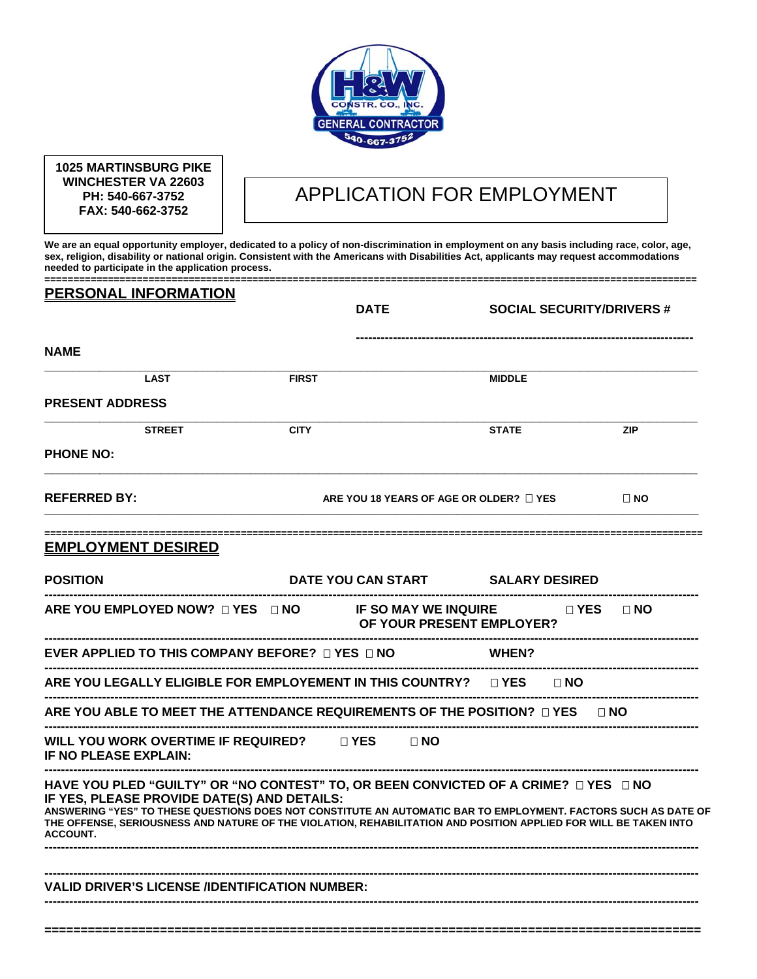

**1025 MARTINSBURG PIKE WINCHESTER VA 22603 PH: 540-667-3752 FAX: 540-662-3752** 

# APPLICATION FOR EMPLOYMENT

**We are an equal opportunity employer, dedicated to a policy of non-discrimination in employment on any basis including race, color, age, sex, religion, disability or national origin. Consistent with the Americans with Disabilities Act, applicants may request accommodations needed to participate in the application process.** 

| <b>PERSONAL INFORMATION</b>                                                                                                                                                                                                                                                                                                                                                                 | <b>DATE</b>  |                                              | <b>SOCIAL SECURITY/DRIVERS #</b> |
|---------------------------------------------------------------------------------------------------------------------------------------------------------------------------------------------------------------------------------------------------------------------------------------------------------------------------------------------------------------------------------------------|--------------|----------------------------------------------|----------------------------------|
| <b>NAME</b>                                                                                                                                                                                                                                                                                                                                                                                 |              |                                              |                                  |
| LAST                                                                                                                                                                                                                                                                                                                                                                                        | <b>FIRST</b> | <b>MIDDLE</b>                                |                                  |
| <b>PRESENT ADDRESS</b>                                                                                                                                                                                                                                                                                                                                                                      |              |                                              |                                  |
| <b>STREET</b>                                                                                                                                                                                                                                                                                                                                                                               | <b>CITY</b>  | <b>STATE</b>                                 | <b>ZIP</b>                       |
| <b>PHONE NO:</b>                                                                                                                                                                                                                                                                                                                                                                            |              |                                              |                                  |
| <b>REFERRED BY:</b>                                                                                                                                                                                                                                                                                                                                                                         |              | ARE YOU 18 YEARS OF AGE OR OLDER? $\Box$ YES | $\Box$ NO                        |
| <b>EMPLOYMENT DESIRED</b>                                                                                                                                                                                                                                                                                                                                                                   |              |                                              |                                  |
| <b>POSITION</b>                                                                                                                                                                                                                                                                                                                                                                             |              | DATE YOU CAN START SALARY DESIRED            |                                  |
| ARE YOU EMPLOYED NOW? $\Box$ YES $\Box$ NO IF SO MAY WE INQUIRE $\Box$ YES $\Box$ NO                                                                                                                                                                                                                                                                                                        |              | <b>OF YOUR PRESENT EMPLOYER?</b>             |                                  |
| EVER APPLIED TO THIS COMPANY BEFORE? $\Box$ YES $\Box$ NO                                                                                                                                                                                                                                                                                                                                   |              | <b>WHEN?</b>                                 |                                  |
| ARE YOU LEGALLY ELIGIBLE FOR EMPLOYEMENT IN THIS COUNTRY? $\quad \Box$ YES $\quad \Box$ NO $\quad$                                                                                                                                                                                                                                                                                          |              |                                              |                                  |
| ARE YOU ABLE TO MEET THE ATTENDANCE REQUIREMENTS OF THE POSITION? $\Box$ YES $\qquad \Box$ NO                                                                                                                                                                                                                                                                                               |              |                                              |                                  |
| WILL YOU WORK OVERTIME IF REQUIRED? UYES UNO<br><b>IF NO PLEASE EXPLAIN:</b>                                                                                                                                                                                                                                                                                                                |              |                                              |                                  |
| HAVE YOU PLED "GUILTY" OR "NO CONTEST" TO, OR BEEN CONVICTED OF A CRIME? □ YES □ NO<br>IF YES, PLEASE PROVIDE DATE(S) AND DETAILS:<br>ANSWERING "YES" TO THESE QUESTIONS DOES NOT CONSTITUTE AN AUTOMATIC BAR TO EMPLOYMENT. FACTORS SUCH AS DATE OF<br>THE OFFENSE, SERIOUSNESS AND NATURE OF THE VIOLATION, REHABILITATION AND POSITION APPLIED FOR WILL BE TAKEN INTO<br><b>ACCOUNT.</b> |              |                                              |                                  |
| <b>VALID DRIVER'S LICENSE /IDENTIFICATION NUMBER:</b>                                                                                                                                                                                                                                                                                                                                       |              |                                              |                                  |

**===========================================================================================**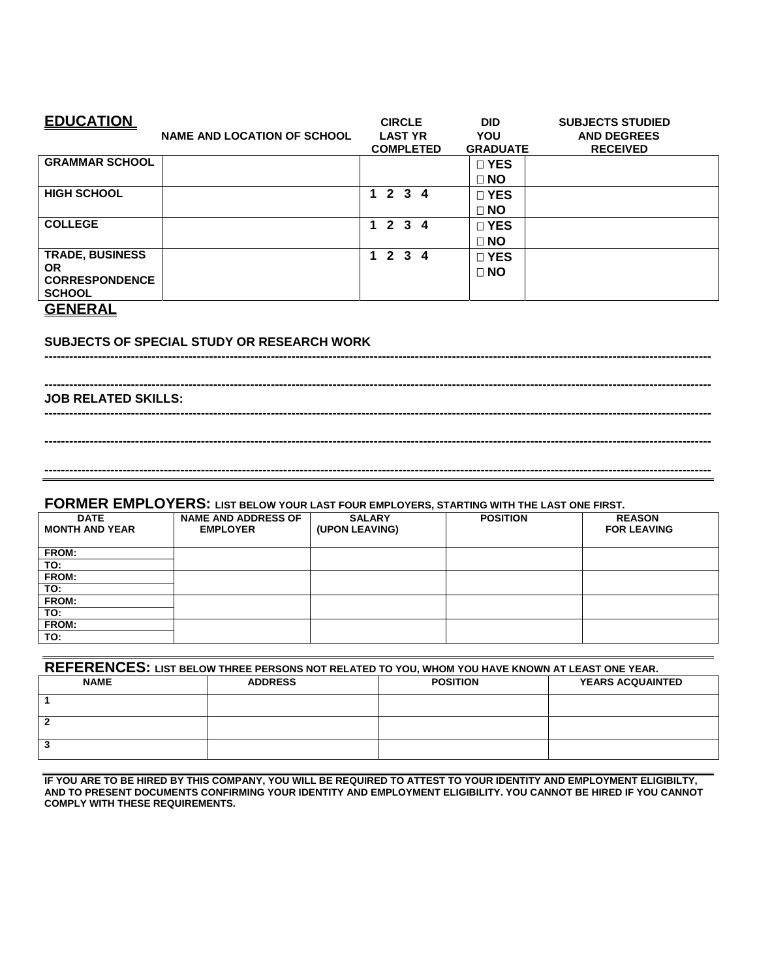| <b>EDUCATION</b>                                                                         | <b>NAME AND LOCATION OF SCHOOL</b> | <b>CIRCLE</b><br><b>LAST YR</b><br><b>COMPLETED</b> | <b>DID</b><br>YOU<br><b>GRADUATE</b> | <b>SUBJECTS STUDIED</b><br><b>AND DEGREES</b><br><b>RECEIVED</b> |
|------------------------------------------------------------------------------------------|------------------------------------|-----------------------------------------------------|--------------------------------------|------------------------------------------------------------------|
| <b>GRAMMAR SCHOOL</b>                                                                    |                                    |                                                     | $\Box$ YES<br>$\Box$ NO              |                                                                  |
| <b>HIGH SCHOOL</b>                                                                       |                                    | 1234                                                | $\square$ YES<br>$\Box$ NO           |                                                                  |
| <b>COLLEGE</b>                                                                           |                                    | $1\ 2\ 3\ 4$                                        | □ YES<br>$\Box$ NO                   |                                                                  |
| <b>TRADE, BUSINESS</b><br><b>OR</b><br><b>CORRESPONDENCE</b><br><b>SCHOOL</b><br>------- |                                    | $1\ 2\ 3\ 4$                                        | $\square$ YES<br>$\Box$ NO           |                                                                  |

**------------------------------------------------------------------------------------------------------------------------------------------------------------------** 

**------------------------------------------------------------------------------------------------------------------------------------------------------------------** 

**------------------------------------------------------------------------------------------------------------------------------------------------------------------** 

**------------------------------------------------------------------------------------------------------------------------------------------------------------------** 

#### **GENERAL**

#### **SUBJECTS OF SPECIAL STUDY OR RESEARCH WORK**

**------------------------------------------------------------------------------------------------------------------------------------------------------------------ JOB RELATED SKILLS:** 

### **FORMER EMPLOYERS: LIST BELOW YOUR LAST FOUR EMPLOYERS, STARTING WITH THE LAST ONE FIRST.**

| <b>DATE</b><br><b>MONTH AND YEAR</b> | <b>NAME AND ADDRESS OF</b><br><b>EMPLOYER</b> | <b>SALARY</b><br>(UPON LEAVING) | <b>POSITION</b> | <b>REASON</b><br><b>FOR LEAVING</b> |
|--------------------------------------|-----------------------------------------------|---------------------------------|-----------------|-------------------------------------|
| FROM:                                |                                               |                                 |                 |                                     |
| TO:                                  |                                               |                                 |                 |                                     |
| FROM:                                |                                               |                                 |                 |                                     |
| TO:                                  |                                               |                                 |                 |                                     |
| FROM:                                |                                               |                                 |                 |                                     |
| TO:                                  |                                               |                                 |                 |                                     |
| FROM:                                |                                               |                                 |                 |                                     |
| TO:                                  |                                               |                                 |                 |                                     |

| REFERENCES: LIST BELOW THREE PERSONS NOT RELATED TO YOU, WHOM YOU HAVE KNOWN AT LEAST ONE YEAR. |                |                 |                         |  |  |
|-------------------------------------------------------------------------------------------------|----------------|-----------------|-------------------------|--|--|
| <b>NAME</b>                                                                                     | <b>ADDRESS</b> | <b>POSITION</b> | <b>YEARS ACQUAINTED</b> |  |  |
|                                                                                                 |                |                 |                         |  |  |
|                                                                                                 |                |                 |                         |  |  |
|                                                                                                 |                |                 |                         |  |  |

**IF YOU ARE TO BE HIRED BY THIS COMPANY, YOU WILL BE REQUIRED TO ATTEST TO YOUR IDENTITY AND EMPLOYMENT ELIGIBILTY, AND TO PRESENT DOCUMENTS CONFIRMING YOUR IDENTITY AND EMPLOYMENT ELIGIBILITY. YOU CANNOT BE HIRED IF YOU CANNOT COMPLY WITH THESE REQUIREMENTS.**